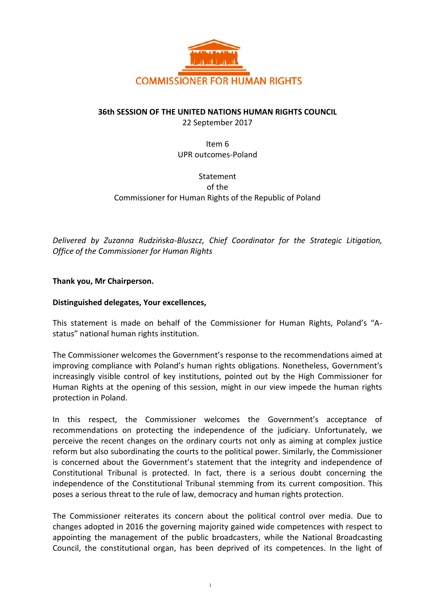

## **36th SESSION OF THE UNITED NATIONS HUMAN RIGHTS COUNCIL**

22 September 2017

Item 6 UPR outcomes-Poland

Statement of the Commissioner for Human Rights of the Republic of Poland

*Delivered by Zuzanna Rudzińska-Bluszcz, Chief Coordinator for the Strategic Litigation, Office of the Commissioner for Human Rights* 

## **Thank you, Mr Chairperson.**

## **Distinguished delegates, Your excellences,**

This statement is made on behalf of the Commissioner for Human Rights, Poland's "Astatus" national human rights institution.

The Commissioner welcomes the Government's response to the recommendations aimed at improving compliance with Poland's human rights obligations. Nonetheless, Government's increasingly visible control of key institutions, pointed out by the High Commissioner for Human Rights at the opening of this session, might in our view impede the human rights protection in Poland.

In this respect, the Commissioner welcomes the Government's acceptance of recommendations on protecting the independence of the judiciary. Unfortunately, we perceive the recent changes on the ordinary courts not only as aiming at complex justice reform but also subordinating the courts to the political power. Similarly, the Commissioner is concerned about the Government's statement that the integrity and independence of Constitutional Tribunal is protected. In fact, there is a serious doubt concerning the independence of the Constitutional Tribunal stemming from its current composition. This poses a serious threat to the rule of law, democracy and human rights protection.

The Commissioner reiterates its concern about the political control over media. Due to changes adopted in 2016 the governing majority gained wide competences with respect to appointing the management of the public broadcasters, while the National Broadcasting Council, the constitutional organ, has been deprived of its competences. In the light of